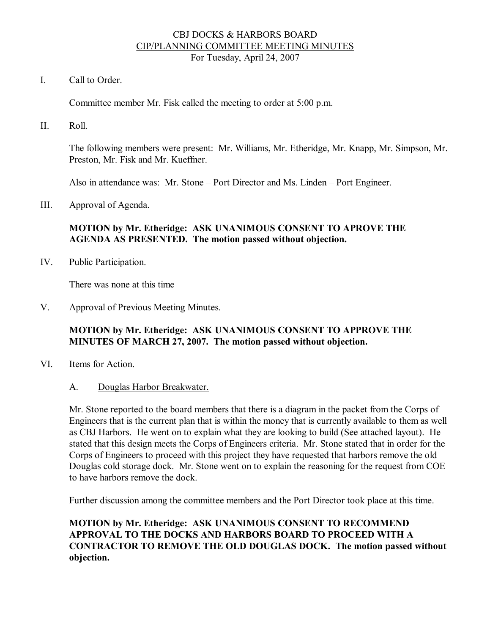#### CBJ DOCKS & HARBORS BOARD CIP/PLANNING COMMITTEE MEETING MINUTES For Tuesday, April 24, 2007

I. Call to Order.

Committee member Mr. Fisk called the meeting to order at 5:00 p.m.

II. Roll.

The following members were present: Mr. Williams, Mr. Etheridge, Mr. Knapp, Mr. Simpson, Mr. Preston, Mr. Fisk and Mr. Kueffner.

Also in attendance was: Mr. Stone – Port Director and Ms. Linden – Port Engineer.

III. Approval of Agenda.

### **MOTION by Mr. Etheridge: ASK UNANIMOUS CONSENT TO APROVE THE AGENDA AS PRESENTED. The motion passed without objection.**

IV. Public Participation.

There was none at this time

V. Approval of Previous Meeting Minutes.

#### **MOTION by Mr. Etheridge: ASK UNANIMOUS CONSENT TO APPROVE THE MINUTES OF MARCH 27, 2007. The motion passed without objection.**

- VI. Items for Action.
	- A. Douglas Harbor Breakwater.

Mr. Stone reported to the board members that there is a diagram in the packet from the Corps of Engineers that is the current plan that is within the money that is currently available to them as well as CBJ Harbors. He went on to explain what they are looking to build (See attached layout). He stated that this design meets the Corps of Engineers criteria. Mr. Stone stated that in order for the Corps of Engineers to proceed with this project they have requested that harbors remove the old Douglas cold storage dock. Mr. Stone went on to explain the reasoning for the request from COE to have harbors remove the dock.

Further discussion among the committee members and the Port Director took place at this time.

## **MOTION by Mr. Etheridge: ASK UNANIMOUS CONSENT TO RECOMMEND APPROVAL TO THE DOCKS AND HARBORS BOARD TO PROCEED WITH A CONTRACTOR TO REMOVE THE OLD DOUGLAS DOCK. The motion passed without objection.**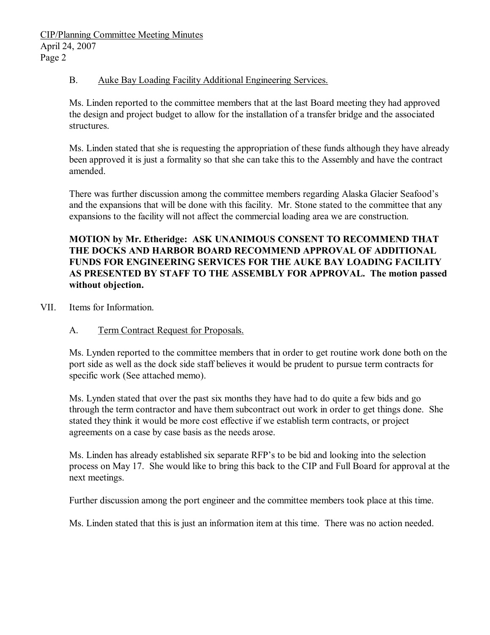### B. Auke Bay Loading Facility Additional Engineering Services.

Ms. Linden reported to the committee members that at the last Board meeting they had approved the design and project budget to allow for the installation of a transfer bridge and the associated structures.

Ms. Linden stated that she is requesting the appropriation of these funds although they have already been approved it is just a formality so that she can take this to the Assembly and have the contract amended.

There was further discussion among the committee members regarding Alaska Glacier Seafood's and the expansions that will be done with this facility. Mr. Stone stated to the committee that any expansions to the facility will not affect the commercial loading area we are construction.

**MOTION by Mr. Etheridge: ASK UNANIMOUS CONSENT TO RECOMMEND THAT THE DOCKS AND HARBOR BOARD RECOMMEND APPROVAL OF ADDITIONAL FUNDS FOR ENGINEERING SERVICES FOR THE AUKE BAY LOADING FACILITY AS PRESENTED BY STAFF TO THE ASSEMBLY FOR APPROVAL. The motion passed without objection.**

VII. Items for Information.

# A. Term Contract Request for Proposals.

Ms. Lynden reported to the committee members that in order to get routine work done both on the port side as well as the dock side staff believes it would be prudent to pursue term contracts for specific work (See attached memo).

Ms. Lynden stated that over the past six months they have had to do quite a few bids and go through the term contractor and have them subcontract out work in order to get things done. She stated they think it would be more cost effective if we establish term contracts, or project agreements on a case by case basis as the needs arose.

Ms. Linden has already established six separate RFP's to be bid and looking into the selection process on May 17. She would like to bring this back to the CIP and Full Board for approval at the next meetings.

Further discussion among the port engineer and the committee members took place at this time.

Ms. Linden stated that this is just an information item at this time. There was no action needed.